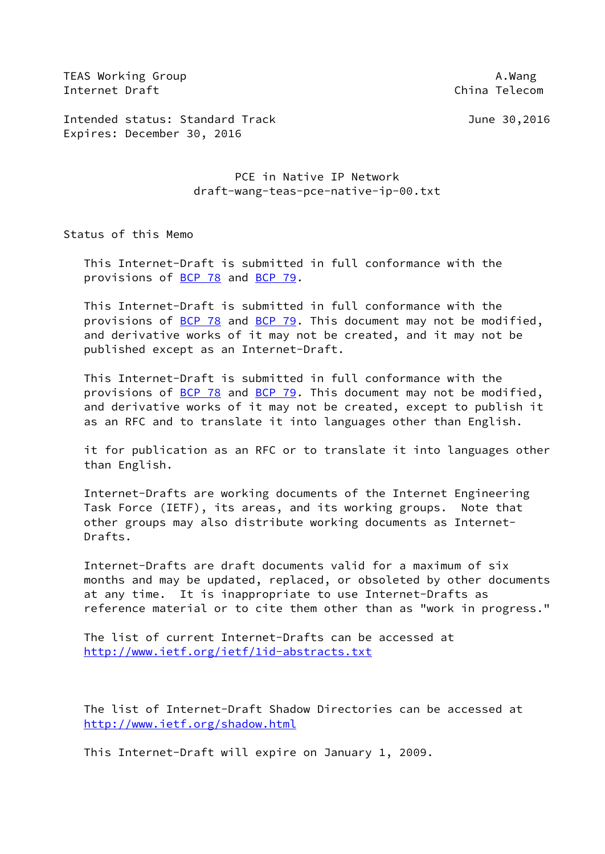TEAS Working Group **A.Wang** Internet Draft China Telecom

Intended status: Standard Track June 30,2016 Expires: December 30, 2016

> PCE in Native IP Network draft-wang-teas-pce-native-ip-00.txt

Status of this Memo

 This Internet-Draft is submitted in full conformance with the provisions of [BCP 78](https://datatracker.ietf.org/doc/pdf/bcp78) and [BCP 79](https://datatracker.ietf.org/doc/pdf/bcp79).

 This Internet-Draft is submitted in full conformance with the provisions of [BCP 78](https://datatracker.ietf.org/doc/pdf/bcp78) and [BCP 79](https://datatracker.ietf.org/doc/pdf/bcp79). This document may not be modified, and derivative works of it may not be created, and it may not be published except as an Internet-Draft.

 This Internet-Draft is submitted in full conformance with the provisions of [BCP 78](https://datatracker.ietf.org/doc/pdf/bcp78) and [BCP 79](https://datatracker.ietf.org/doc/pdf/bcp79). This document may not be modified, and derivative works of it may not be created, except to publish it as an RFC and to translate it into languages other than English.

 it for publication as an RFC or to translate it into languages other than English.

 Internet-Drafts are working documents of the Internet Engineering Task Force (IETF), its areas, and its working groups. Note that other groups may also distribute working documents as Internet- Drafts.

 Internet-Drafts are draft documents valid for a maximum of six months and may be updated, replaced, or obsoleted by other documents at any time. It is inappropriate to use Internet-Drafts as reference material or to cite them other than as "work in progress."

 The list of current Internet-Drafts can be accessed at <http://www.ietf.org/ietf/1id-abstracts.txt>

 The list of Internet-Draft Shadow Directories can be accessed at <http://www.ietf.org/shadow.html>

This Internet-Draft will expire on January 1, 2009.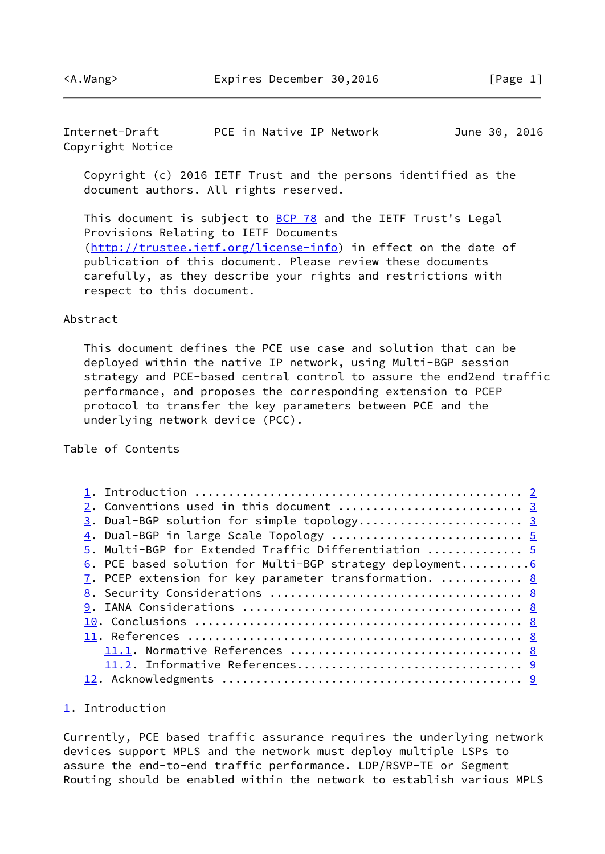<span id="page-1-1"></span>Internet-Draft PCE in Native IP Network June 30, 2016 Copyright Notice

 Copyright (c) 2016 IETF Trust and the persons identified as the document authors. All rights reserved.

This document is subject to **[BCP 78](https://datatracker.ietf.org/doc/pdf/bcp78)** and the IETF Trust's Legal Provisions Relating to IETF Documents [\(http://trustee.ietf.org/license-info](http://trustee.ietf.org/license-info)) in effect on the date of publication of this document. Please review these documents carefully, as they describe your rights and restrictions with respect to this document.

#### Abstract

 This document defines the PCE use case and solution that can be deployed within the native IP network, using Multi-BGP session strategy and PCE-based central control to assure the end2end traffic performance, and proposes the corresponding extension to PCEP protocol to transfer the key parameters between PCE and the underlying network device (PCC).

## Table of Contents

| 3. Dual-BGP solution for simple topology 3                |  |
|-----------------------------------------------------------|--|
| 4. Dual-BGP in large Scale Topology  5                    |  |
| 5. Multi-BGP for Extended Traffic Differentiation  5      |  |
| 6. PCE based solution for Multi-BGP strategy deployment 6 |  |
| 7. PCEP extension for key parameter transformation.  8    |  |
|                                                           |  |
|                                                           |  |
|                                                           |  |
|                                                           |  |
|                                                           |  |
|                                                           |  |
|                                                           |  |
|                                                           |  |

### <span id="page-1-0"></span>[1](#page-1-0). Introduction

Currently, PCE based traffic assurance requires the underlying network devices support MPLS and the network must deploy multiple LSPs to assure the end-to-end traffic performance. LDP/RSVP-TE or Segment Routing should be enabled within the network to establish various MPLS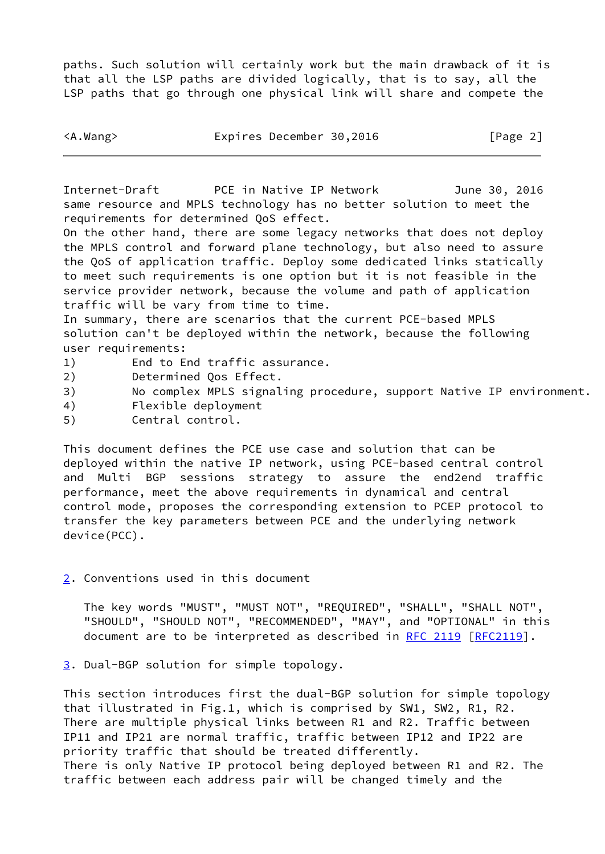paths. Such solution will certainly work but the main drawback of it is that all the LSP paths are divided logically, that is to say, all the LSP paths that go through one physical link will share and compete the

<span id="page-2-1"></span>Internet-Draft PCE in Native IP Network June 30, 2016 same resource and MPLS technology has no better solution to meet the requirements for determined QoS effect.

On the other hand, there are some legacy networks that does not deploy the MPLS control and forward plane technology, but also need to assure the QoS of application traffic. Deploy some dedicated links statically to meet such requirements is one option but it is not feasible in the service provider network, because the volume and path of application traffic will be vary from time to time.

In summary, there are scenarios that the current PCE-based MPLS solution can't be deployed within the network, because the following user requirements:

- 1) End to End traffic assurance.
- 2) Determined Qos Effect.
- 3) No complex MPLS signaling procedure, support Native IP environment.
- 4) Flexible deployment
- 5) Central control.

This document defines the PCE use case and solution that can be deployed within the native IP network, using PCE-based central control and Multi BGP sessions strategy to assure the end2end traffic performance, meet the above requirements in dynamical and central control mode, proposes the corresponding extension to PCEP protocol to transfer the key parameters between PCE and the underlying network device(PCC).

<span id="page-2-0"></span>[2](#page-2-0). Conventions used in this document

 The key words "MUST", "MUST NOT", "REQUIRED", "SHALL", "SHALL NOT", "SHOULD", "SHOULD NOT", "RECOMMENDED", "MAY", and "OPTIONAL" in this document are to be interpreted as described in [RFC 2119 \[RFC2119](https://datatracker.ietf.org/doc/pdf/rfc2119)].

<span id="page-2-2"></span>[3](#page-2-2). Dual-BGP solution for simple topology.

This section introduces first the dual-BGP solution for simple topology that illustrated in Fig.1, which is comprised by SW1, SW2, R1, R2. There are multiple physical links between R1 and R2. Traffic between IP11 and IP21 are normal traffic, traffic between IP12 and IP22 are priority traffic that should be treated differently. There is only Native IP protocol being deployed between R1 and R2. The traffic between each address pair will be changed timely and the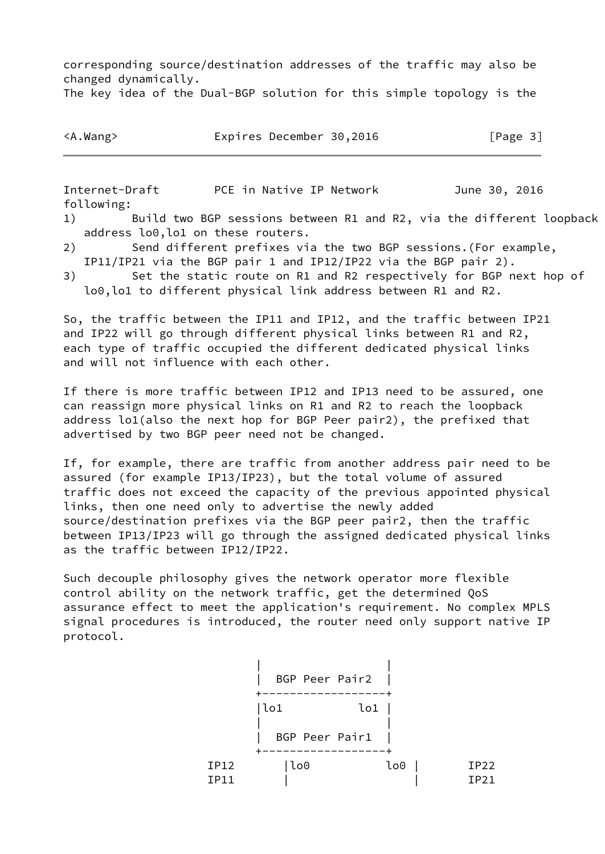corresponding source/destination addresses of the traffic may also be changed dynamically.

The key idea of the Dual-BGP solution for this simple topology is the

| <a.wang></a.wang> | Expires December 30,2016 |  | [Page 3] |
|-------------------|--------------------------|--|----------|
|-------------------|--------------------------|--|----------|

Internet-Draft PCE in Native IP Network June 30, 2016 following: 1) Build two BGP sessions between R1 and R2, via the different loopback

- address lo0,lo1 on these routers.
- 2) Send different prefixes via the two BGP sessions.(For example, IP11/IP21 via the BGP pair 1 and IP12/IP22 via the BGP pair 2).
- 3) Set the static route on R1 and R2 respectively for BGP next hop of lo0,lo1 to different physical link address between R1 and R2.

So, the traffic between the IP11 and IP12, and the traffic between IP21 and IP22 will go through different physical links between R1 and R2, each type of traffic occupied the different dedicated physical links and will not influence with each other.

If there is more traffic between IP12 and IP13 need to be assured, one can reassign more physical links on R1 and R2 to reach the loopback address lo1(also the next hop for BGP Peer pair2), the prefixed that advertised by two BGP peer need not be changed.

If, for example, there are traffic from another address pair need to be assured (for example IP13/IP23), but the total volume of assured traffic does not exceed the capacity of the previous appointed physical links, then one need only to advertise the newly added source/destination prefixes via the BGP peer pair2, then the traffic between IP13/IP23 will go through the assigned dedicated physical links as the traffic between IP12/IP22.

Such decouple philosophy gives the network operator more flexible control ability on the network traffic, get the determined QoS assurance effect to meet the application's requirement. No complex MPLS signal procedures is introduced, the router need only support native IP protocol.

|             | BGP Peer Pair2 |     |      |
|-------------|----------------|-----|------|
|             | lo1            | lo1 |      |
|             | BGP Peer Pair1 |     |      |
| <b>IP12</b> | lo0            | lo0 | IP22 |
| <b>IP11</b> |                |     | IP21 |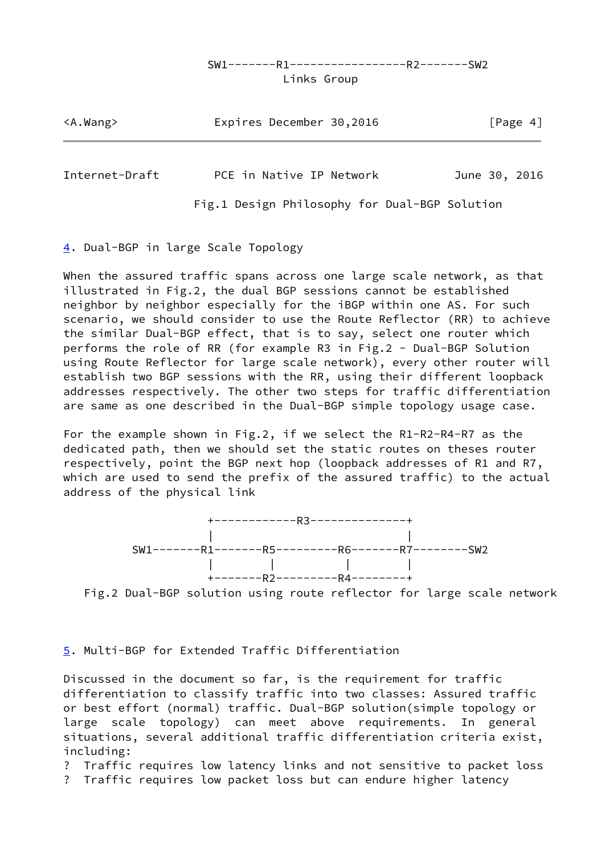# SW1-------R1-----------------R2-------SW2

Links Group

| $<$ A.Wang> | Expires December 30,2016 | [Page 4] |
|-------------|--------------------------|----------|
|             |                          |          |

<span id="page-4-1"></span>Internet-Draft PCE in Native IP Network June 30, 2016

Fig.1 Design Philosophy for Dual-BGP Solution

<span id="page-4-0"></span>[4](#page-4-0). Dual-BGP in large Scale Topology

When the assured traffic spans across one large scale network, as that illustrated in Fig.2, the dual BGP sessions cannot be established neighbor by neighbor especially for the iBGP within one AS. For such scenario, we should consider to use the Route Reflector (RR) to achieve the similar Dual-BGP effect, that is to say, select one router which performs the role of RR (for example R3 in Fig.2 - Dual-BGP Solution using Route Reflector for large scale network), every other router will establish two BGP sessions with the RR, using their different loopback addresses respectively. The other two steps for traffic differentiation are same as one described in the Dual-BGP simple topology usage case.

For the example shown in Fig.2, if we select the R1-R2-R4-R7 as the dedicated path, then we should set the static routes on theses router respectively, point the BGP next hop (loopback addresses of R1 and R7, which are used to send the prefix of the assured traffic) to the actual address of the physical link



Fig.2 Dual-BGP solution using route reflector for large scale network

## <span id="page-4-2"></span>[5](#page-4-2). Multi-BGP for Extended Traffic Differentiation

Discussed in the document so far, is the requirement for traffic differentiation to classify traffic into two classes: Assured traffic or best effort (normal) traffic. Dual-BGP solution(simple topology or large scale topology) can meet above requirements. In general situations, several additional traffic differentiation criteria exist, including:

? Traffic requires low latency links and not sensitive to packet loss ? Traffic requires low packet loss but can endure higher latency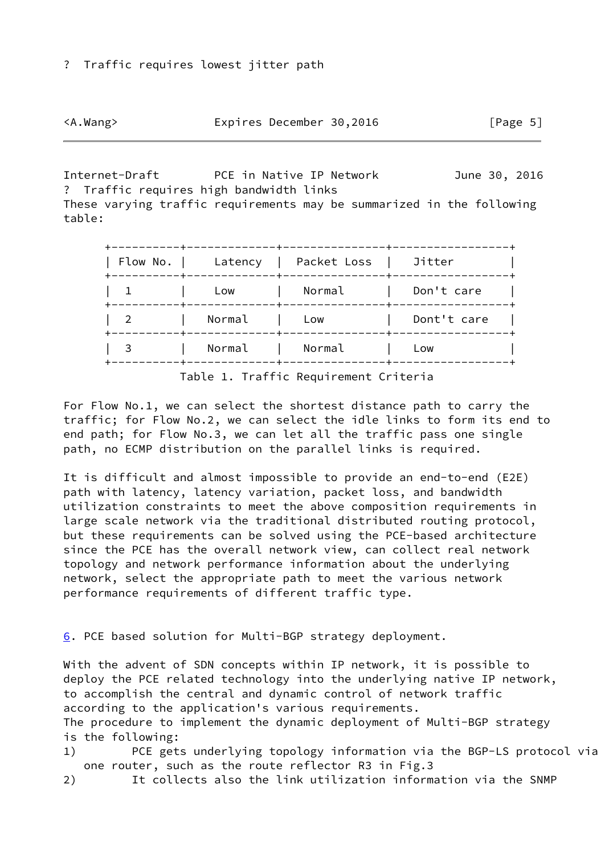|  | <a.wang></a.wang> |
|--|-------------------|
|  |                   |

<span id="page-5-1"></span>Internet-Draft PCE in Native IP Network June 30, 2016 ? Traffic requires high bandwidth links These varying traffic requirements may be summarized in the following table:

| Flow No. | Latency | Packet Loss | Jitter      |
|----------|---------|-------------|-------------|
|          | Low     | Normal      | Don't care  |
|          | Normal  | Low         | Dont't care |
| 3        | Normal  | Normal      | Low         |

Table 1. Traffic Requirement Criteria

For Flow No.1, we can select the shortest distance path to carry the traffic; for Flow No.2, we can select the idle links to form its end to end path; for Flow No.3, we can let all the traffic pass one single path, no ECMP distribution on the parallel links is required.

It is difficult and almost impossible to provide an end-to-end (E2E) path with latency, latency variation, packet loss, and bandwidth utilization constraints to meet the above composition requirements in large scale network via the traditional distributed routing protocol, but these requirements can be solved using the PCE-based architecture since the PCE has the overall network view, can collect real network topology and network performance information about the underlying network, select the appropriate path to meet the various network performance requirements of different traffic type.

<span id="page-5-0"></span>[6](#page-5-0). PCE based solution for Multi-BGP strategy deployment.

With the advent of SDN concepts within IP network, it is possible to deploy the PCE related technology into the underlying native IP network, to accomplish the central and dynamic control of network traffic according to the application's various requirements. The procedure to implement the dynamic deployment of Multi-BGP strategy is the following: 1) PCE gets underlying topology information via the BGP-LS protocol via

one router, such as the route reflector R3 in Fig.3

2) It collects also the link utilization information via the SNMP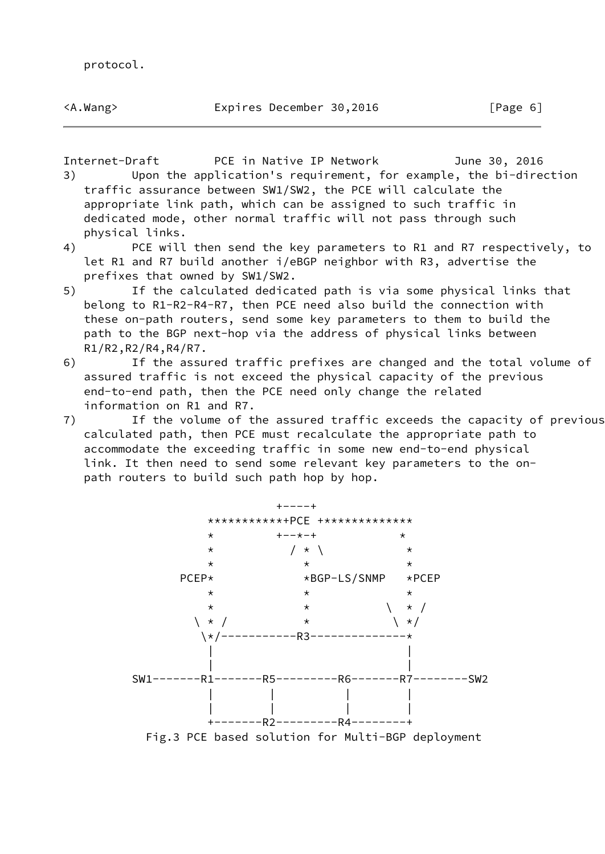Internet-Draft PCE in Native IP Network June 30, 2016

- 3) Upon the application's requirement, for example, the bi-direction traffic assurance between SW1/SW2, the PCE will calculate the appropriate link path, which can be assigned to such traffic in dedicated mode, other normal traffic will not pass through such physical links.
- 4) PCE will then send the key parameters to R1 and R7 respectively, to let R1 and R7 build another i/eBGP neighbor with R3, advertise the prefixes that owned by SW1/SW2.
- 5) If the calculated dedicated path is via some physical links that belong to R1-R2-R4-R7, then PCE need also build the connection with these on-path routers, send some key parameters to them to build the path to the BGP next-hop via the address of physical links between R1/R2,R2/R4,R4/R7.
- 6) If the assured traffic prefixes are changed and the total volume of assured traffic is not exceed the physical capacity of the previous end-to-end path, then the PCE need only change the related information on R1 and R7.
- 7) If the volume of the assured traffic exceeds the capacity of previous calculated path, then PCE must recalculate the appropriate path to accommodate the exceeding traffic in some new end-to-end physical link. It then need to send some relevant key parameters to the on path routers to build such path hop by hop.

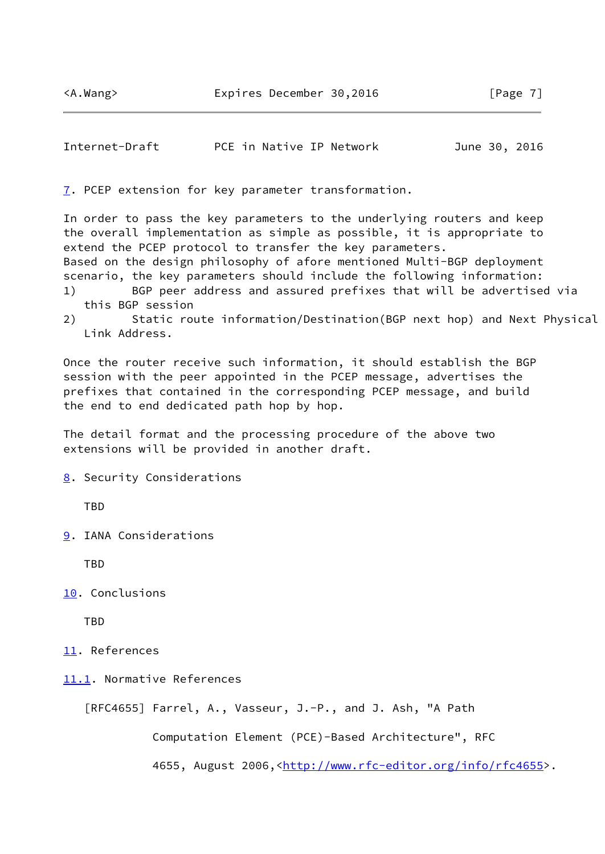<span id="page-7-1"></span>

| Internet-Draft | PCE in Native IP Network | June 30, 2016 |
|----------------|--------------------------|---------------|
|----------------|--------------------------|---------------|

<span id="page-7-0"></span>[7](#page-7-0). PCEP extension for key parameter transformation.

In order to pass the key parameters to the underlying routers and keep the overall implementation as simple as possible, it is appropriate to extend the PCEP protocol to transfer the key parameters. Based on the design philosophy of afore mentioned Multi-BGP deployment scenario, the key parameters should include the following information: 1) BGP peer address and assured prefixes that will be advertised via this BGP session

2) Static route information/Destination(BGP next hop) and Next Physical Link Address.

Once the router receive such information, it should establish the BGP session with the peer appointed in the PCEP message, advertises the prefixes that contained in the corresponding PCEP message, and build the end to end dedicated path hop by hop.

The detail format and the processing procedure of the above two extensions will be provided in another draft.

<span id="page-7-2"></span>[8](#page-7-2). Security Considerations

TBD

<span id="page-7-3"></span>[9](#page-7-3). IANA Considerations

TBD

<span id="page-7-4"></span>[10.](#page-7-4) Conclusions

TBD

- <span id="page-7-5"></span>[11.](#page-7-5) References
- <span id="page-7-6"></span>[11.1](#page-7-6). Normative References

```
 [RFC4655] Farrel, A., Vasseur, J.-P., and J. Ash, "A Path
```
Computation Element (PCE)-Based Architecture", RFC

4655, August 2006,[<http://www.rfc-editor.org/info/rfc4655](http://www.rfc-editor.org/info/rfc4655)>.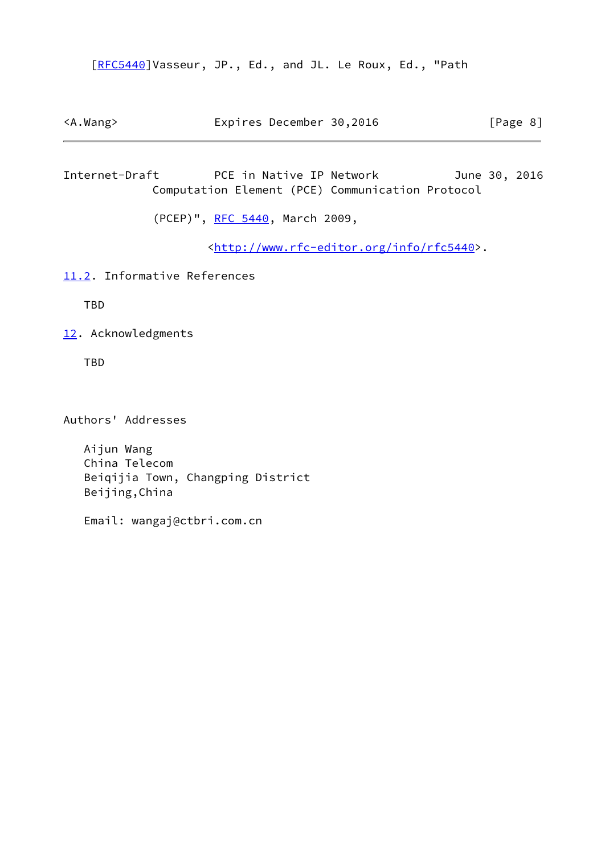[\[RFC5440](https://datatracker.ietf.org/doc/pdf/rfc5440)]Vasseur, JP., Ed., and JL. Le Roux, Ed., "Path

<A.Wang> Expires December 30,2016 [Page 8]

<span id="page-8-1"></span>Internet-Draft PCE in Native IP Network June 30, 2016 Computation Element (PCE) Communication Protocol

(PCEP)", [RFC 5440,](https://datatracker.ietf.org/doc/pdf/rfc5440) March 2009,

<<http://www.rfc-editor.org/info/rfc5440>>.

<span id="page-8-0"></span>[11.2](#page-8-0). Informative References

TBD

<span id="page-8-2"></span>[12.](#page-8-2) Acknowledgments

TBD

Authors' Addresses

 Aijun Wang China Telecom Beiqijia Town, Changping District Beijing,China

Email: wangaj@ctbri.com.cn